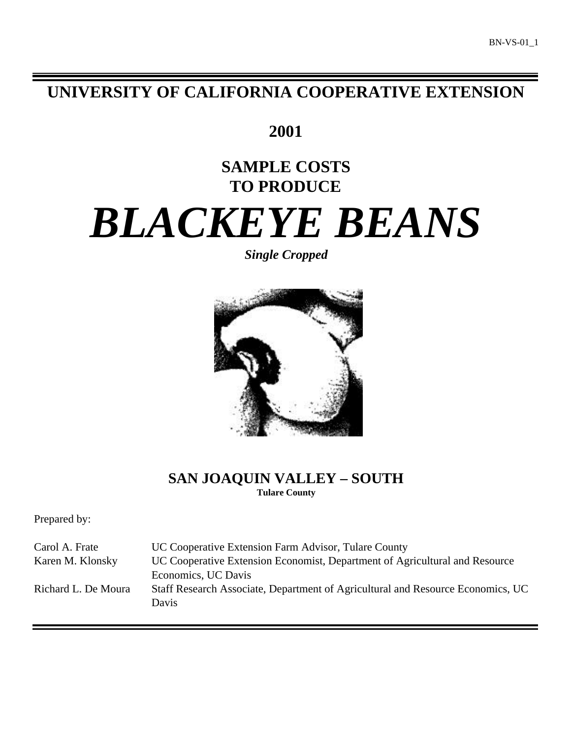# **UNIVERSITY OF CALIFORNIA COOPERATIVE EXTENSION**

**2001**

# **SAMPLE COSTS TO PRODUCE**

# *BLACKEYE BEANS*

*Single Cropped*



# **SAN JOAQUIN VALLEY – SOUTH Tulare County**

Prepared by:

| Carol A. Frate      | UC Cooperative Extension Farm Advisor, Tulare County                                     |
|---------------------|------------------------------------------------------------------------------------------|
| Karen M. Klonsky    | UC Cooperative Extension Economist, Department of Agricultural and Resource              |
|                     | Economics, UC Davis                                                                      |
| Richard L. De Moura | Staff Research Associate, Department of Agricultural and Resource Economics, UC<br>Davis |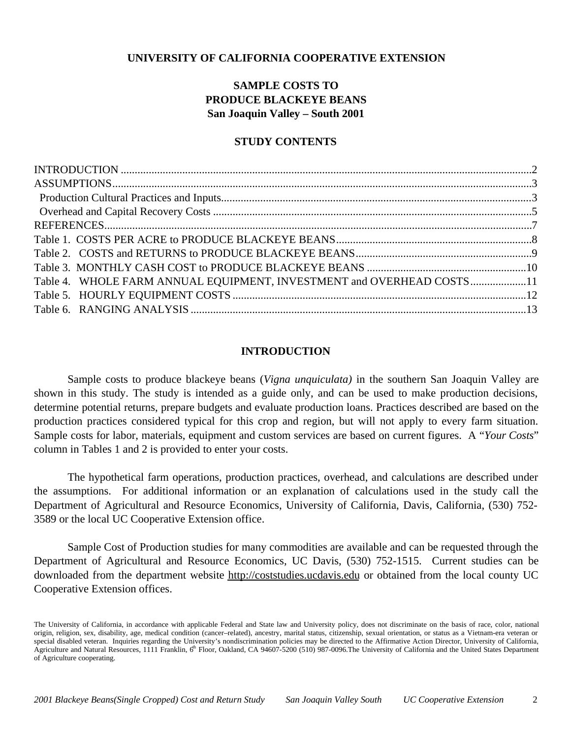# **UNIVERSITY OF CALIFORNIA COOPERATIVE EXTENSION**

# **SAMPLE COSTS TO PRODUCE BLACKEYE BEANS San Joaquin Valley – South 2001**

# **STUDY CONTENTS**

| Table 4. WHOLE FARM ANNUAL EQUIPMENT, INVESTMENT and OVERHEAD COSTS 11 |  |
|------------------------------------------------------------------------|--|
|                                                                        |  |
|                                                                        |  |

# **INTRODUCTION**

Sample costs to produce blackeye beans (*Vigna unquiculata)* in the southern San Joaquin Valley are shown in this study. The study is intended as a guide only, and can be used to make production decisions, determine potential returns, prepare budgets and evaluate production loans. Practices described are based on the production practices considered typical for this crop and region, but will not apply to every farm situation. Sample costs for labor, materials, equipment and custom services are based on current figures. A "*Your Costs*" column in Tables 1 and 2 is provided to enter your costs.

The hypothetical farm operations, production practices, overhead, and calculations are described under the assumptions. For additional information or an explanation of calculations used in the study call the Department of Agricultural and Resource Economics, University of California, Davis, California, (530) 752- 3589 or the local UC Cooperative Extension office.

Sample Cost of Production studies for many commodities are available and can be requested through the Department of Agricultural and Resource Economics, UC Davis, (530) 752-1515. Current studies can be downloaded from the department website http://coststudies.ucdavis.edu or obtained from the local county UC Cooperative Extension offices.

The University of California, in accordance with applicable Federal and State law and University policy, does not discriminate on the basis of race, color, national origin, religion, sex, disability, age, medical condition (cancer–related), ancestry, marital status, citizenship, sexual orientation, or status as a Vietnam-era veteran or special disabled veteran. Inquiries regarding the University's nondiscrimination policies may be directed to the Affirmative Action Director, University of California, Agriculture and Natural Resources, 1111 Franklin,  $6<sup>th</sup>$  Floor, Oakland, CA 94607-5200 (510) 987-0096. The University of California and the United States Department of Agriculture cooperating.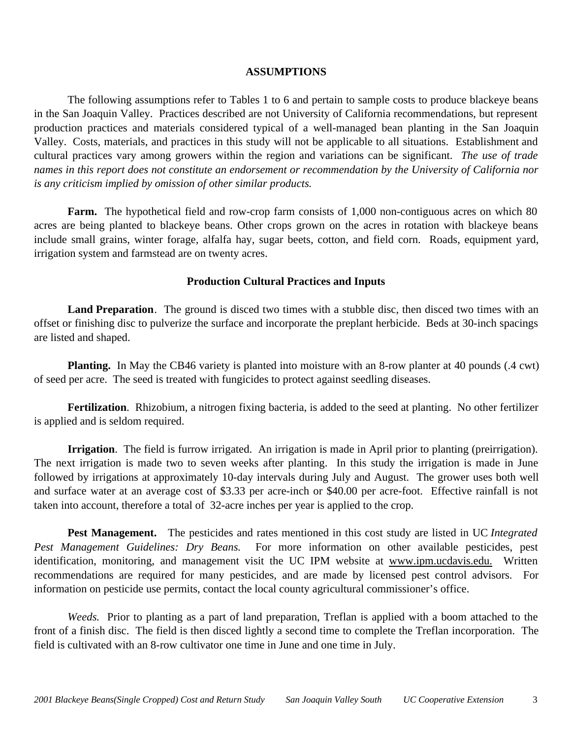## **ASSUMPTIONS**

The following assumptions refer to Tables 1 to 6 and pertain to sample costs to produce blackeye beans in the San Joaquin Valley. Practices described are not University of California recommendations, but represent production practices and materials considered typical of a well-managed bean planting in the San Joaquin Valley. Costs, materials, and practices in this study will not be applicable to all situations.Establishment and cultural practices vary among growers within the region and variations can be significant. *The use of trade names in this report does not constitute an endorsement or recommendation by the University of California nor is any criticism implied by omission of other similar products.*

**Farm.** The hypothetical field and row-crop farm consists of 1,000 non-contiguous acres on which 80 acres are being planted to blackeye beans. Other crops grown on the acres in rotation with blackeye beans include small grains, winter forage, alfalfa hay, sugar beets, cotton, and field corn. Roads, equipment yard, irrigation system and farmstead are on twenty acres.

# **Production Cultural Practices and Inputs**

**Land Preparation**. The ground is disced two times with a stubble disc, then disced two times with an offset or finishing disc to pulverize the surface and incorporate the preplant herbicide. Beds at 30-inch spacings are listed and shaped.

**Planting.** In May the CB46 variety is planted into moisture with an 8-row planter at 40 pounds (.4 cwt) of seed per acre. The seed is treated with fungicides to protect against seedling diseases.

**Fertilization**. Rhizobium, a nitrogen fixing bacteria, is added to the seed at planting. No other fertilizer is applied and is seldom required.

**Irrigation**. The field is furrow irrigated. An irrigation is made in April prior to planting (preirrigation). The next irrigation is made two to seven weeks after planting. In this study the irrigation is made in June followed by irrigations at approximately 10-day intervals during July and August. The grower uses both well and surface water at an average cost of \$3.33 per acre-inch or \$40.00 per acre-foot. Effective rainfall is not taken into account, therefore a total of 32-acre inches per year is applied to the crop.

**Pest Management.** The pesticides and rates mentioned in this cost study are listed in UC *Integrated Pest Management Guidelines: Dry Beans.* For more information on other available pesticides, pest identification, monitoring, and management visit the UC IPM website at www.ipm.ucdavis.edu. Written recommendations are required for many pesticides, and are made by licensed pest control advisors. For information on pesticide use permits, contact the local county agricultural commissioner's office.

*Weeds.* Prior to planting as a part of land preparation, Treflan is applied with a boom attached to the front of a finish disc. The field is then disced lightly a second time to complete the Treflan incorporation. The field is cultivated with an 8-row cultivator one time in June and one time in July.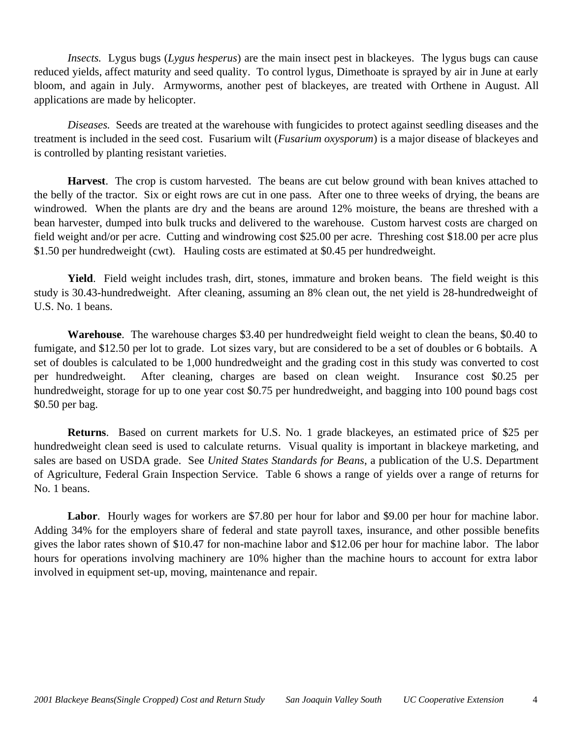*Insects.* Lygus bugs (*Lygus hesperus*) are the main insect pest in blackeyes. The lygus bugs can cause reduced yields, affect maturity and seed quality. To control lygus, Dimethoate is sprayed by air in June at early bloom, and again in July. Armyworms, another pest of blackeyes, are treated with Orthene in August. All applications are made by helicopter.

*Diseases.* Seeds are treated at the warehouse with fungicides to protect against seedling diseases and the treatment is included in the seed cost. Fusarium wilt (*Fusarium oxysporum*) is a major disease of blackeyes and is controlled by planting resistant varieties.

**Harvest**. The crop is custom harvested. The beans are cut below ground with bean knives attached to the belly of the tractor. Six or eight rows are cut in one pass. After one to three weeks of drying, the beans are windrowed. When the plants are dry and the beans are around 12% moisture, the beans are threshed with a bean harvester, dumped into bulk trucks and delivered to the warehouse. Custom harvest costs are charged on field weight and/or per acre. Cutting and windrowing cost \$25.00 per acre. Threshing cost \$18.00 per acre plus \$1.50 per hundredweight (cwt). Hauling costs are estimated at \$0.45 per hundredweight.

**Yield**. Field weight includes trash, dirt, stones, immature and broken beans. The field weight is this study is 30.43-hundredweight. After cleaning, assuming an 8% clean out, the net yield is 28-hundredweight of U.S. No. 1 beans.

**Warehouse**. The warehouse charges \$3.40 per hundredweight field weight to clean the beans, \$0.40 to fumigate, and \$12.50 per lot to grade. Lot sizes vary, but are considered to be a set of doubles or 6 bobtails. A set of doubles is calculated to be 1,000 hundredweight and the grading cost in this study was converted to cost per hundredweight. After cleaning, charges are based on clean weight. Insurance cost \$0.25 per hundredweight, storage for up to one year cost \$0.75 per hundredweight, and bagging into 100 pound bags cost \$0.50 per bag.

**Returns**. Based on current markets for U.S. No. 1 grade blackeyes, an estimated price of \$25 per hundredweight clean seed is used to calculate returns. Visual quality is important in blackeye marketing, and sales are based on USDA grade. See *United States Standards for Beans*, a publication of the U.S. Department of Agriculture, Federal Grain Inspection Service. Table 6 shows a range of yields over a range of returns for No. 1 beans.

**Labor**. Hourly wages for workers are \$7.80 per hour for labor and \$9.00 per hour for machine labor. Adding 34% for the employers share of federal and state payroll taxes, insurance, and other possible benefits gives the labor rates shown of \$10.47 for non-machine labor and \$12.06 per hour for machine labor. The labor hours for operations involving machinery are 10% higher than the machine hours to account for extra labor involved in equipment set-up, moving, maintenance and repair.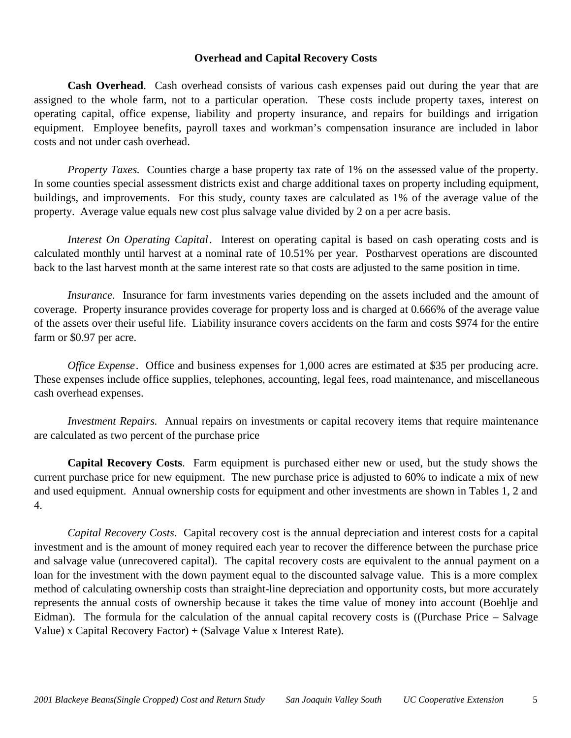## **Overhead and Capital Recovery Costs**

**Cash Overhead**. Cash overhead consists of various cash expenses paid out during the year that are assigned to the whole farm, not to a particular operation. These costs include property taxes, interest on operating capital, office expense, liability and property insurance, and repairs for buildings and irrigation equipment. Employee benefits, payroll taxes and workman's compensation insurance are included in labor costs and not under cash overhead.

*Property Taxes.* Counties charge a base property tax rate of 1% on the assessed value of the property. In some counties special assessment districts exist and charge additional taxes on property including equipment, buildings, and improvements. For this study, county taxes are calculated as 1% of the average value of the property. Average value equals new cost plus salvage value divided by 2 on a per acre basis.

*Interest On Operating Capital*. Interest on operating capital is based on cash operating costs and is calculated monthly until harvest at a nominal rate of 10.51% per year. Postharvest operations are discounted back to the last harvest month at the same interest rate so that costs are adjusted to the same position in time.

*Insurance*. Insurance for farm investments varies depending on the assets included and the amount of coverage. Property insurance provides coverage for property loss and is charged at 0.666% of the average value of the assets over their useful life. Liability insurance covers accidents on the farm and costs \$974 for the entire farm or \$0.97 per acre.

*Office Expense.* Office and business expenses for 1,000 acres are estimated at \$35 per producing acre. These expenses include office supplies, telephones, accounting, legal fees, road maintenance, and miscellaneous cash overhead expenses.

*Investment Repairs.* Annual repairs on investments or capital recovery items that require maintenance are calculated as two percent of the purchase price

**Capital Recovery Costs**. Farm equipment is purchased either new or used, but the study shows the current purchase price for new equipment. The new purchase price is adjusted to 60% to indicate a mix of new and used equipment. Annual ownership costs for equipment and other investments are shown in Tables 1, 2 and 4.

*Capital Recovery Costs*. Capital recovery cost is the annual depreciation and interest costs for a capital investment and is the amount of money required each year to recover the difference between the purchase price and salvage value (unrecovered capital). The capital recovery costs are equivalent to the annual payment on a loan for the investment with the down payment equal to the discounted salvage value. This is a more complex method of calculating ownership costs than straight-line depreciation and opportunity costs, but more accurately represents the annual costs of ownership because it takes the time value of money into account (Boehlje and Eidman). The formula for the calculation of the annual capital recovery costs is ((Purchase Price – Salvage Value) x Capital Recovery Factor) + (Salvage Value x Interest Rate).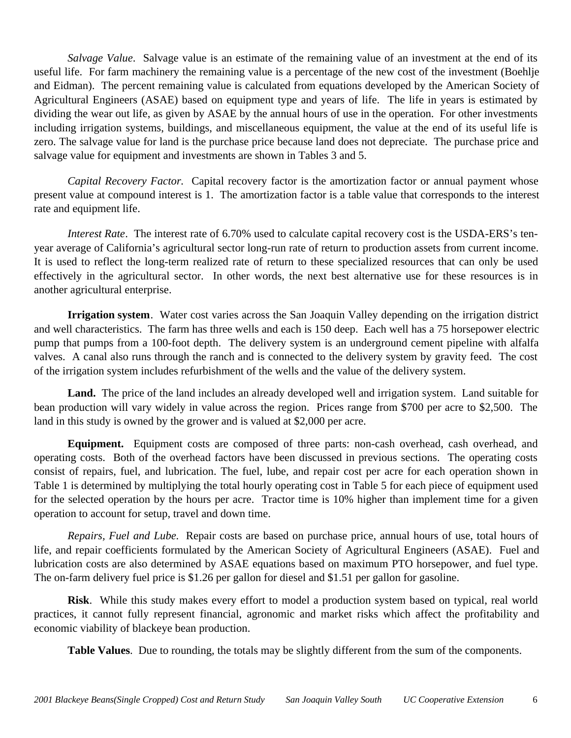*Salvage Value*. Salvage value is an estimate of the remaining value of an investment at the end of its useful life. For farm machinery the remaining value is a percentage of the new cost of the investment (Boehlje and Eidman). The percent remaining value is calculated from equations developed by the American Society of Agricultural Engineers (ASAE) based on equipment type and years of life. The life in years is estimated by dividing the wear out life, as given by ASAE by the annual hours of use in the operation. For other investments including irrigation systems, buildings, and miscellaneous equipment, the value at the end of its useful life is zero. The salvage value for land is the purchase price because land does not depreciate. The purchase price and salvage value for equipment and investments are shown in Tables 3 and 5.

*Capital Recovery Factor.* Capital recovery factor is the amortization factor or annual payment whose present value at compound interest is 1. The amortization factor is a table value that corresponds to the interest rate and equipment life.

*Interest Rate*. The interest rate of 6.70% used to calculate capital recovery cost is the USDA-ERS's tenyear average of California's agricultural sector long-run rate of return to production assets from current income. It is used to reflect the long-term realized rate of return to these specialized resources that can only be used effectively in the agricultural sector. In other words, the next best alternative use for these resources is in another agricultural enterprise.

**Irrigation system**. Water cost varies across the San Joaquin Valley depending on the irrigation district and well characteristics. The farm has three wells and each is 150 deep. Each well has a 75 horsepower electric pump that pumps from a 100-foot depth. The delivery system is an underground cement pipeline with alfalfa valves. A canal also runs through the ranch and is connected to the delivery system by gravity feed. The cost of the irrigation system includes refurbishment of the wells and the value of the delivery system.

**Land.** The price of the land includes an already developed well and irrigation system. Land suitable for bean production will vary widely in value across the region. Prices range from \$700 per acre to \$2,500. The land in this study is owned by the grower and is valued at \$2,000 per acre.

**Equipment.** Equipment costs are composed of three parts: non-cash overhead, cash overhead, and operating costs. Both of the overhead factors have been discussed in previous sections. The operating costs consist of repairs, fuel, and lubrication. The fuel, lube, and repair cost per acre for each operation shown in Table 1 is determined by multiplying the total hourly operating cost in Table 5 for each piece of equipment used for the selected operation by the hours per acre. Tractor time is 10% higher than implement time for a given operation to account for setup, travel and down time.

*Repairs, Fuel and Lube.* Repair costs are based on purchase price, annual hours of use, total hours of life, and repair coefficients formulated by the American Society of Agricultural Engineers (ASAE). Fuel and lubrication costs are also determined by ASAE equations based on maximum PTO horsepower, and fuel type. The on-farm delivery fuel price is \$1.26 per gallon for diesel and \$1.51 per gallon for gasoline.

**Risk**. While this study makes every effort to model a production system based on typical, real world practices, it cannot fully represent financial, agronomic and market risks which affect the profitability and economic viability of blackeye bean production.

**Table Values**. Due to rounding, the totals may be slightly different from the sum of the components.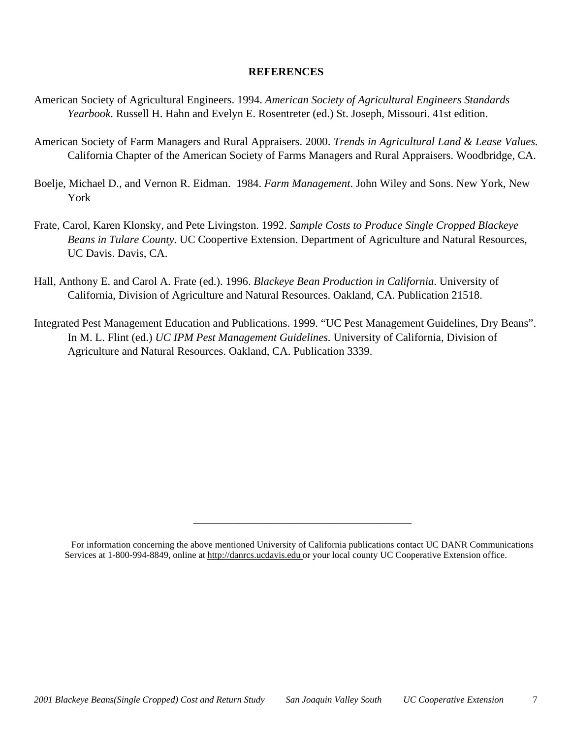# **REFERENCES**

- American Society of Agricultural Engineers. 1994. *American Society of Agricultural Engineers Standards Yearbook*. Russell H. Hahn and Evelyn E. Rosentreter (ed.) St. Joseph, Missouri. 41st edition.
- American Society of Farm Managers and Rural Appraisers. 2000. *Trends in Agricultural Land & Lease Values.* California Chapter of the American Society of Farms Managers and Rural Appraisers. Woodbridge, CA.
- Boelje, Michael D., and Vernon R. Eidman. 1984. *Farm Management*. John Wiley and Sons. New York, New York
- Frate, Carol, Karen Klonsky, and Pete Livingston. 1992. *Sample Costs to Produce Single Cropped Blackeye Beans in Tulare County.* UC Coopertive Extension. Department of Agriculture and Natural Resources, UC Davis. Davis, CA.
- Hall, Anthony E. and Carol A. Frate (ed.). 1996. *Blackeye Bean Production in California*. University of California, Division of Agriculture and Natural Resources. Oakland, CA. Publication 21518.
- Integrated Pest Management Education and Publications. 1999. "UC Pest Management Guidelines, Dry Beans". In M. L. Flint (ed.) *UC IPM Pest Management Guidelines.* University of California, Division of Agriculture and Natural Resources. Oakland, CA. Publication 3339.

\_\_\_\_\_\_\_\_\_\_\_\_\_\_\_\_\_\_\_\_\_\_\_\_\_\_\_\_\_\_\_\_\_\_\_\_\_\_\_

For information concerning the above mentioned University of California publications contact UC DANR Communications Services at 1-800-994-8849, online at http://danrcs.ucdavis.edu or your local county UC Cooperative Extension office.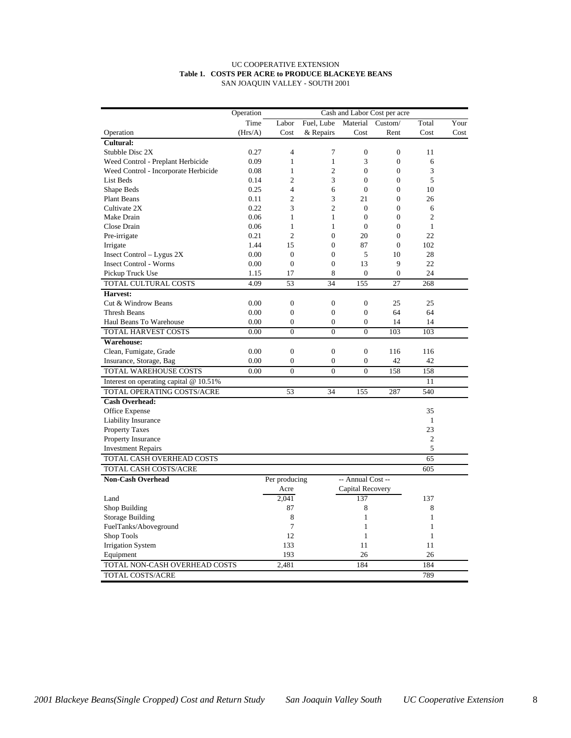#### UC COOPERATIVE EXTENSION **Table 1. COSTS PER ACRE to PRODUCE BLACKEYE BEANS** SAN JOAQUIN VALLEY - SOUTH 2001

|                                          | Operation | Cash and Labor Cost per acre   |                  |                   |                  |                |      |  |
|------------------------------------------|-----------|--------------------------------|------------------|-------------------|------------------|----------------|------|--|
|                                          | Time      | Labor                          | Fuel, Lube       | Material          | Custom/          | Total          | Your |  |
| Operation                                | (Hrs/A)   | Cost                           | & Repairs        | Cost              | Rent             | Cost           | Cost |  |
| <b>Cultural:</b>                         |           |                                |                  |                   |                  |                |      |  |
| Stubble Disc 2X                          | 0.27      | $\overline{4}$                 | 7                | $\mathbf{0}$      | $\boldsymbol{0}$ | 11             |      |  |
| Weed Control - Preplant Herbicide        | 0.09      | $\mathbf{1}$                   | 1                | 3                 | $\boldsymbol{0}$ | 6              |      |  |
| Weed Control - Incorporate Herbicide     | 0.08      | 1                              | $\mathfrak{2}$   | $\overline{0}$    | $\overline{0}$   | 3              |      |  |
| <b>List Beds</b>                         | 0.14      | $\overline{c}$                 | 3                | $\theta$          | $\overline{0}$   | 5              |      |  |
| Shape Beds                               | 0.25      | $\overline{4}$                 | 6                | $\overline{0}$    | $\overline{0}$   | 10             |      |  |
| <b>Plant Beans</b>                       | 0.11      | $\overline{c}$                 | 3                | 21                | $\overline{0}$   | 26             |      |  |
| Cultivate 2X                             | 0.22      | 3                              | $\overline{c}$   | $\overline{0}$    | $\overline{0}$   | 6              |      |  |
| Make Drain                               | 0.06      | $\mathbf{1}$                   | $\mathbf{1}$     | $\boldsymbol{0}$  | $\boldsymbol{0}$ | $\overline{c}$ |      |  |
| Close Drain                              | 0.06      | 1                              | $\mathbf{1}$     | $\overline{0}$    | $\boldsymbol{0}$ | $\mathbf{1}$   |      |  |
| Pre-irrigate                             | 0.21      | $\overline{c}$                 | $\mathbf{0}$     | 20                | $\overline{0}$   | 22             |      |  |
| Irrigate                                 | 1.44      | 15                             | $\theta$         | 87                | $\mathbf{0}$     | 102            |      |  |
| Insect Control $-$ Lygus 2X              | 0.00      | $\mathbf{0}$                   | $\mathbf{0}$     | 5                 | 10               | 28             |      |  |
| <b>Insect Control - Worms</b>            | 0.00      | $\overline{0}$                 | $\overline{0}$   | 13                | 9                | 22             |      |  |
| Pickup Truck Use                         | 1.15      | 17                             | 8                | $\overline{0}$    | $\overline{0}$   | 24             |      |  |
| TOTAL CULTURAL COSTS                     | 4.09      | 53                             | 34               | 155               | 27               | 268            |      |  |
| Harvest:                                 |           |                                |                  |                   |                  |                |      |  |
| Cut & Windrow Beans                      | 0.00      | $\boldsymbol{0}$               | $\boldsymbol{0}$ | $\mathbf{0}$      | 25               | 25             |      |  |
| <b>Thresh Beans</b>                      | 0.00      | $\overline{0}$                 | $\overline{0}$   | $\boldsymbol{0}$  | 64               | 64             |      |  |
| Haul Beans To Warehouse                  | 0.00      | $\overline{0}$                 | $\overline{0}$   | $\overline{0}$    | 14               | 14             |      |  |
| TOTAL HARVEST COSTS                      | 0.00      | $\overline{0}$                 | $\overline{0}$   | $\theta$          | 103              | 103            |      |  |
| <b>Warehouse:</b>                        |           |                                |                  |                   |                  |                |      |  |
| Clean, Fumigate, Grade                   | 0.00      | $\boldsymbol{0}$               | $\boldsymbol{0}$ | $\mathbf{0}$      | 116              | 116            |      |  |
| Insurance, Storage, Bag                  | 0.00      | $\mathbf{0}$                   | $\mathbf{0}$     | $\overline{0}$    | 42               | 42             |      |  |
| <b>TOTAL WAREHOUSE COSTS</b>             | 0.00      | $\overline{0}$                 | $\overline{0}$   | $\overline{0}$    | 158              | 158            |      |  |
|                                          |           |                                |                  |                   |                  |                |      |  |
| Interest on operating capital $@10.51\%$ |           |                                |                  |                   |                  | 11             |      |  |
| <b>TOTAL OPERATING COSTS/ACRE</b>        |           | 53                             | 34               | 155               | 287              | 540            |      |  |
| <b>Cash Overhead:</b>                    |           |                                |                  |                   |                  |                |      |  |
| Office Expense                           |           |                                |                  |                   |                  | 35             |      |  |
| Liability Insurance                      |           |                                |                  |                   |                  | $\mathbf{1}$   |      |  |
| <b>Property Taxes</b>                    |           |                                |                  |                   |                  | 23             |      |  |
| Property Insurance                       |           |                                |                  |                   |                  | $\overline{c}$ |      |  |
| <b>Investment Repairs</b>                |           |                                |                  |                   |                  | 5              |      |  |
| TOTAL CASH OVERHEAD COSTS                |           |                                |                  |                   |                  | 65             |      |  |
| TOTAL CASH COSTS/ACRE                    |           |                                |                  |                   |                  | 605            |      |  |
| <b>Non-Cash Overhead</b>                 |           | Per producing                  |                  | -- Annual Cost -- |                  |                |      |  |
|                                          |           | Acre                           |                  | Capital Recovery  |                  |                |      |  |
| Land                                     |           | 2,041                          |                  | 137               |                  | 137            |      |  |
| Shop Building                            |           | 87                             |                  | 8                 |                  | 8              |      |  |
| <b>Storage Building</b>                  |           | 8<br>$\mathbf{1}$              |                  | $\mathbf{1}$      |                  |                |      |  |
| FuelTanks/Aboveground                    |           | $\overline{7}$<br>$\mathbf{1}$ |                  | $\mathbf{1}$      |                  |                |      |  |
| Shop Tools                               |           | 12                             |                  | $\mathbf{1}$      |                  | $\mathbf{1}$   |      |  |
| <b>Irrigation System</b>                 |           | 133                            |                  | 11                |                  | 11             |      |  |
| Equipment                                |           | 193                            |                  | 26                |                  | 26             |      |  |
| TOTAL NON-CASH OVERHEAD COSTS            |           | 2,481                          |                  | 184               |                  | 184            |      |  |
| <b>TOTAL COSTS/ACRE</b>                  |           |                                |                  |                   |                  | 789            |      |  |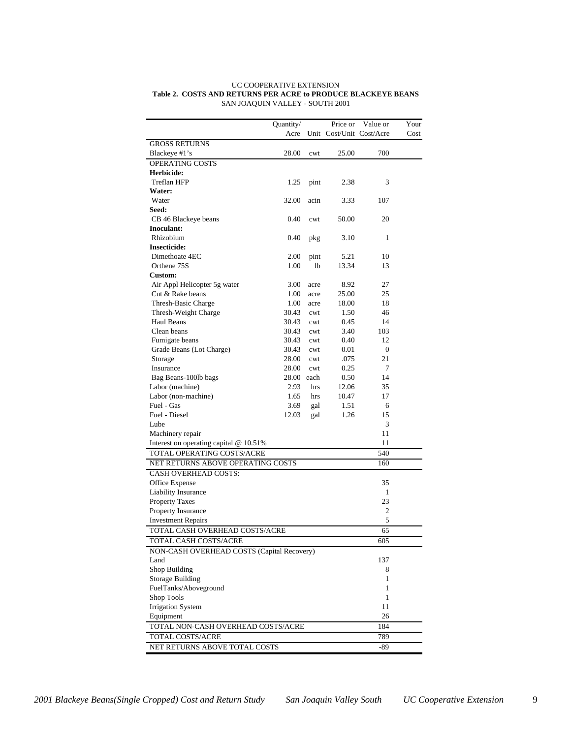|                                             | Quantity/  |                | Price or                 | Value or     | Your |  |  |  |
|---------------------------------------------|------------|----------------|--------------------------|--------------|------|--|--|--|
|                                             | Acre       |                | Unit Cost/Unit Cost/Acre |              | Cost |  |  |  |
| <b>GROSS RETURNS</b>                        |            |                |                          |              |      |  |  |  |
| Blackeye #1's                               | 28.00      | cwt            | 25.00                    | 700          |      |  |  |  |
| OPERATING COSTS                             |            |                |                          |              |      |  |  |  |
| Herbicide:                                  |            |                |                          |              |      |  |  |  |
| Treflan HFP                                 | 1.25       | pint           | 2.38                     | 3            |      |  |  |  |
| Water:                                      |            |                |                          |              |      |  |  |  |
| Water                                       | 32.00      | acin           | 3.33                     | 107          |      |  |  |  |
| Seed:                                       |            |                |                          |              |      |  |  |  |
| CB 46 Blackeye beans                        | 0.40       | cwt            | 50.00                    | 20           |      |  |  |  |
| Inoculant:                                  |            |                |                          |              |      |  |  |  |
| Rhizobium                                   | 0.40       | pkg            | 3.10                     | 1            |      |  |  |  |
| <b>Insecticide:</b>                         |            |                |                          |              |      |  |  |  |
| Dimethoate 4EC                              | 2.00       | pint           | 5.21                     | 10           |      |  |  |  |
| Orthene 75S                                 | 1.00       | 1 <sub>b</sub> | 13.34                    | 13           |      |  |  |  |
| Custom:                                     |            |                |                          |              |      |  |  |  |
| Air Appl Helicopter 5g water                | 3.00       | acre           | 8.92                     | 27           |      |  |  |  |
| Cut & Rake beans                            | 1.00       | acre           | 25.00                    | 25           |      |  |  |  |
| Thresh-Basic Charge                         | 1.00       | acre           | 18.00                    | 18           |      |  |  |  |
| Thresh-Weight Charge                        | 30.43      | cwt            | 1.50                     | 46           |      |  |  |  |
| <b>Haul Beans</b>                           | 30.43      | cwt            | 0.45                     | 14           |      |  |  |  |
| Clean beans                                 | 30.43      | cwt            | 3.40                     | 103          |      |  |  |  |
| Fumigate beans                              | 30.43      | cwt            | 0.40                     | 12           |      |  |  |  |
| Grade Beans (Lot Charge)                    | 30.43      | cwt            | 0.01                     | $\mathbf{0}$ |      |  |  |  |
| Storage                                     | 28.00      | cwt            | .075                     | 21           |      |  |  |  |
| Insurance                                   | 28.00      | cwt            | 0.25                     | 7            |      |  |  |  |
| Bag Beans-100lb bags                        | 28.00 each |                | 0.50                     | 14           |      |  |  |  |
| Labor (machine)                             | 2.93       | hrs            | 12.06                    | 35           |      |  |  |  |
| Labor (non-machine)                         | 1.65       | hrs            | 10.47                    | 17           |      |  |  |  |
| Fuel - Gas                                  | 3.69       | gal            | 1.51                     | 6            |      |  |  |  |
| Fuel - Diesel                               | 12.03      | gal            | 1.26                     | 15           |      |  |  |  |
| Lube                                        |            |                |                          | 3            |      |  |  |  |
| Machinery repair                            |            |                |                          | 11           |      |  |  |  |
| Interest on operating capital $@$ 10.51%    |            |                |                          | 11           |      |  |  |  |
| TOTAL OPERATING COSTS/ACRE                  |            |                |                          | 540          |      |  |  |  |
| NET RETURNS ABOVE OPERATING COSTS           |            |                |                          | 160          |      |  |  |  |
| <b>CASH OVERHEAD COSTS:</b>                 |            |                |                          |              |      |  |  |  |
| Office Expense                              |            |                |                          | 35           |      |  |  |  |
| Liability Insurance                         |            |                |                          | 1            |      |  |  |  |
| <b>Property Taxes</b><br>Property Insurance |            |                |                          | 23           |      |  |  |  |
| <b>Investment Repairs</b>                   |            |                |                          | 2<br>5       |      |  |  |  |
| TOTAL CASH OVERHEAD COSTS/ACRE              |            |                |                          | 65           |      |  |  |  |
|                                             |            |                |                          |              |      |  |  |  |
| TOTAL CASH COSTS/ACRE                       |            |                |                          | 605          |      |  |  |  |
| NON-CASH OVERHEAD COSTS (Capital Recovery)  |            |                |                          |              |      |  |  |  |
| Land<br>Shop Building                       | 137<br>8   |                |                          |              |      |  |  |  |
| <b>Storage Building</b>                     | 1          |                |                          |              |      |  |  |  |
|                                             | 1          |                |                          |              |      |  |  |  |
| FuelTanks/Aboveground<br>Shop Tools         | 1          |                |                          |              |      |  |  |  |
| <b>Irrigation System</b>                    | 11         |                |                          |              |      |  |  |  |
| 26<br>Equipment                             |            |                |                          |              |      |  |  |  |
| TOTAL NON-CASH OVERHEAD COSTS/ACRE          |            |                |                          | 184          |      |  |  |  |
|                                             |            |                |                          |              |      |  |  |  |
| TOTAL COSTS/ACRE                            |            |                |                          | 789          |      |  |  |  |
| NET RETURNS ABOVE TOTAL COSTS               |            |                |                          | -89          |      |  |  |  |

#### UC COOPERATIVE EXTENSION **Table 2. COSTS AND RETURNS PER ACRE to PRODUCE BLACKEYE BEANS** SAN JOAQUIN VALLEY - SOUTH 2001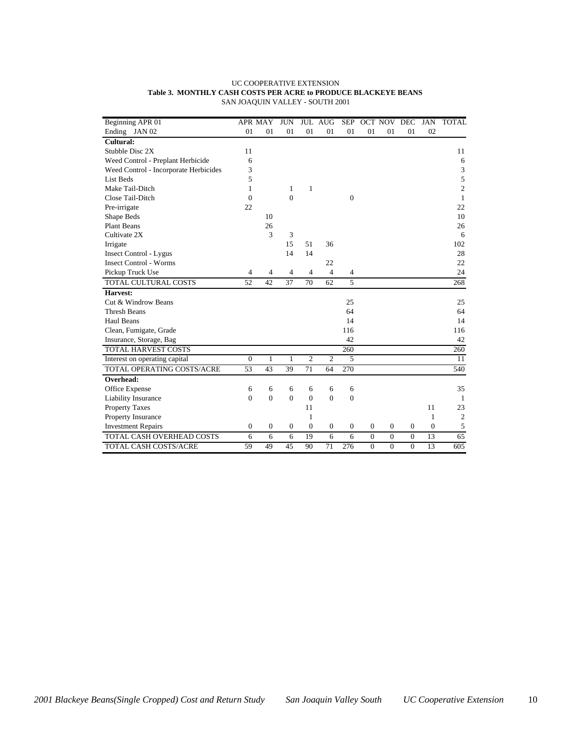| Beginning APR 01                      |                  | <b>APR MAY</b>   | <b>JUN</b>       |                | <b>JUL AUG</b>   | <b>SEP</b>       |                  | OCT NOV      | DEC            | <b>JAN</b> | <b>TOTAL</b>                |
|---------------------------------------|------------------|------------------|------------------|----------------|------------------|------------------|------------------|--------------|----------------|------------|-----------------------------|
| Ending JAN 02                         | 01               | 01               | 01               | 01             | 01               | 01               | 01               | 01           | 01             | 02         |                             |
| Cultural:                             |                  |                  |                  |                |                  |                  |                  |              |                |            |                             |
| Stubble Disc 2X                       | 11               |                  |                  |                |                  |                  |                  |              |                |            | 11                          |
| Weed Control - Preplant Herbicide     | 6                |                  |                  |                |                  |                  |                  |              |                |            | 6                           |
| Weed Control - Incorporate Herbicides | 3                |                  |                  |                |                  |                  |                  |              |                |            | $\ensuremath{\mathfrak{Z}}$ |
| <b>List Beds</b>                      | 5                |                  |                  |                |                  |                  |                  |              |                |            | 5                           |
| Make Tail-Ditch                       | $\mathbf{1}$     |                  | 1                | $\mathbf{1}$   |                  |                  |                  |              |                |            | $\overline{c}$              |
| Close Tail-Ditch                      | $\overline{0}$   |                  | $\boldsymbol{0}$ |                |                  | $\boldsymbol{0}$ |                  |              |                |            | $\mathbf{1}$                |
| Pre-irrigate                          | 22               |                  |                  |                |                  |                  |                  |              |                |            | 22                          |
| Shape Beds                            |                  | 10               |                  |                |                  |                  |                  |              |                |            | 10                          |
| <b>Plant Beans</b>                    |                  | 26               |                  |                |                  |                  |                  |              |                |            | 26                          |
| Cultivate 2X                          |                  | 3                | 3                |                |                  |                  |                  |              |                |            | 6                           |
| Irrigate                              |                  |                  | 15               | 51             | 36               |                  |                  |              |                |            | 102                         |
| <b>Insect Control - Lygus</b>         |                  |                  | 14               | 14             |                  |                  |                  |              |                |            | 28                          |
| <b>Insect Control - Worms</b>         |                  |                  |                  |                | 22               |                  |                  |              |                |            | 22                          |
| Pickup Truck Use                      | $\overline{4}$   | $\overline{4}$   | $\overline{4}$   | $\overline{4}$ | $\overline{4}$   | 4                |                  |              |                |            | 24                          |
| TOTAL CULTURAL COSTS                  | 52               | 42               | 37               | 70             | 62               | 5                |                  |              |                |            | 268                         |
| Harvest:                              |                  |                  |                  |                |                  |                  |                  |              |                |            |                             |
| Cut & Windrow Beans                   |                  |                  |                  |                |                  | 25               |                  |              |                |            | 25                          |
| Thresh Beans                          |                  |                  |                  |                |                  | 64               |                  |              |                |            | 64                          |
| <b>Haul Beans</b>                     |                  |                  |                  |                |                  | 14               |                  |              |                |            | 14                          |
| Clean, Fumigate, Grade                |                  |                  |                  |                |                  | 116              |                  |              |                |            | 116                         |
| Insurance, Storage, Bag               |                  |                  |                  |                |                  | 42               |                  |              |                |            | 42                          |
| TOTAL HARVEST COSTS                   |                  |                  |                  |                |                  | 260              |                  |              |                |            | 260                         |
| Interest on operating capital         | $\boldsymbol{0}$ | $\mathbf{1}$     | $\mathbf{1}$     | $\overline{2}$ | $\overline{c}$   | 5                |                  |              |                |            | 11                          |
| TOTAL OPERATING COSTS/ACRE            | 53               | 43               | 39               | 71             | 64               | 270              |                  |              |                |            | 540                         |
| Overhead:                             |                  |                  |                  |                |                  |                  |                  |              |                |            |                             |
| Office Expense                        | 6                | 6                | 6                | 6              | 6                | 6                |                  |              |                |            | 35                          |
| Liability Insurance                   | $\overline{0}$   | $\overline{0}$   | $\overline{0}$   | $\overline{0}$ | $\overline{0}$   | $\overline{0}$   |                  |              |                |            | $\mathbf{1}$                |
| <b>Property Taxes</b>                 |                  |                  |                  | 11             |                  |                  |                  |              |                | 11         | 23                          |
| Property Insurance                    |                  |                  |                  | 1              |                  |                  |                  |              |                | 1          | 2                           |
| <b>Investment Repairs</b>             | $\boldsymbol{0}$ | $\boldsymbol{0}$ | $\mathbf{0}$     | $\overline{0}$ | $\boldsymbol{0}$ | $\boldsymbol{0}$ | $\boldsymbol{0}$ | $\mathbf{0}$ | $\theta$       | $\Omega$   | $\sqrt{5}$                  |
| TOTAL CASH OVERHEAD COSTS             | 6                | 6                | 6                | 19             | 6                | 6                | $\mathbf{0}$     | $\mathbf{0}$ | $\overline{0}$ | 13         | 65                          |
| TOTAL CASH COSTS/ACRE                 | 59               | 49               | 45               | 90             | 71               | 276              | $\Omega$         | $\Omega$     | $\theta$       | 13         | 605                         |

#### UC COOPERATIVE EXTENSION **Table 3. MONTHLY CASH COSTS PER ACRE to PRODUCE BLACKEYE BEANS** SAN JOAQUIN VALLEY - SOUTH 2001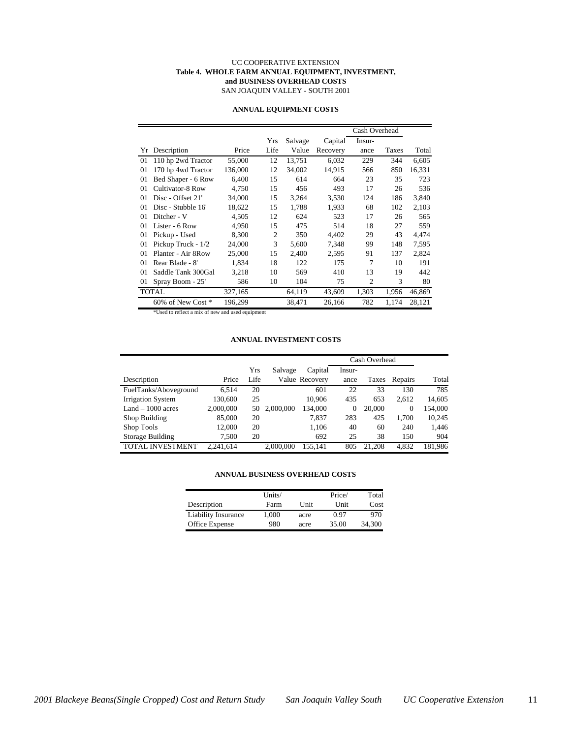#### UC COOPERATIVE EXTENSION **Table 4. WHOLE FARM ANNUAL EQUIPMENT, INVESTMENT, and BUSINESS OVERHEAD COSTS** SAN JOAQUIN VALLEY - SOUTH 2001

|                    |         |                |         |          | Cash Overhead  |       |        |
|--------------------|---------|----------------|---------|----------|----------------|-------|--------|
|                    |         | Yrs            | Salvage | Capital  | Insur-         |       |        |
| Yr Description     | Price   | Life           | Value   | Recovery | ance           | Taxes | Total  |
| 110 hp 2wd Tractor | 55,000  | 12             | 13,751  | 6,032    | 229            | 344   | 6,605  |
| 170 hp 4wd Tractor | 136,000 | 12             | 34,002  | 14,915   | 566            | 850   | 16,331 |
| Bed Shaper - 6 Row | 6.400   | 15             | 614     | 664      | 23             | 35    | 723    |
| Cultivator-8 Row   | 4,750   | 15             | 456     | 493      | 17             | 26    | 536    |
| Disc - Offset 21'  | 34,000  | 15             | 3,264   | 3,530    | 124            | 186   | 3,840  |
| Disc - Stubble 16' | 18,622  | 15             | 1,788   | 1,933    | 68             | 102   | 2,103  |
| Ditcher - V        | 4.505   | 12             | 624     | 523      | 17             | 26    | 565    |
| Lister - 6 Row     | 4,950   | 15             | 475     | 514      | 18             | 27    | 559    |
| Pickup - Used      | 8,300   | $\overline{2}$ | 350     | 4,402    | 29             | 43    | 4,474  |
| Pickup Truck - 1/2 | 24,000  | 3              | 5,600   | 7.348    | 99             | 148   | 7,595  |
| Planter - Air 8Row | 25,000  | 15             | 2,400   | 2,595    | 91             | 137   | 2,824  |
| Rear Blade - 8'    | 1,834   | 18             | 122     | 175      | 7              | 10    | 191    |
| Saddle Tank 300Gal | 3,218   | 10             | 569     | 410      | 13             | 19    | 442    |
| Spray Boom - 25'   | 586     | 10             | 104     | 75       | $\overline{c}$ | 3     | 80     |
| <b>TOTAL</b>       | 327,165 |                | 64,119  | 43,609   | 1,303          | 1,956 | 46,869 |
| 60% of New Cost *  | 196,299 |                | 38,471  | 26,166   | 782            | 1,174 | 28,121 |
|                    |         |                |         |          |                |       |        |

#### **ANNUAL EQUIPMENT COSTS**

d to reflect a mix of new and used equipment

#### **ANNUAL INVESTMENT COSTS**

|                          |           |      |           |                | Cash Overhead |        |              |         |
|--------------------------|-----------|------|-----------|----------------|---------------|--------|--------------|---------|
|                          |           | Yrs  | Salvage   | Capital        | Insur-        |        |              |         |
| Description              | Price     | Life |           | Value Recovery | ance          | Taxes  | Repairs      | Total   |
| FuelTanks/Aboveground    | 6.514     | 20   |           | 601            | 22            | 33     | 130          | 785     |
| <b>Irrigation System</b> | 130,600   | 25   |           | 10.906         | 435           | 653    | 2.612        | 14,605  |
| $Land - 1000 acres$      | 2,000,000 | 50   | 2,000,000 | 134,000        | 0             | 20,000 | $\mathbf{0}$ | 154,000 |
| Shop Building            | 85,000    | 20   |           | 7.837          | 283           | 425    | 1.700        | 10,245  |
| Shop Tools               | 12,000    | 20   |           | 1,106          | 40            | 60     | 240          | 1,446   |
| Storage Building         | 7.500     | 20   |           | 692            | 25            | 38     | 150          | 904     |
| <b>TOTAL INVESTMENT</b>  | 2.241.614 |      | 2.000.000 | 155.141        | 805           | 21,208 | 4.832        | 181.986 |

#### **ANNUAL BUSINESS OVERHEAD COSTS**

|                     | Units/ |      | Price/ | Total  |
|---------------------|--------|------|--------|--------|
| Description         | Farm   | Unit | Unit   | Cost   |
| Liability Insurance | 1.000  | acre | 0.97   | 970    |
| Office Expense      | 980    | acre | 35.00  | 34.300 |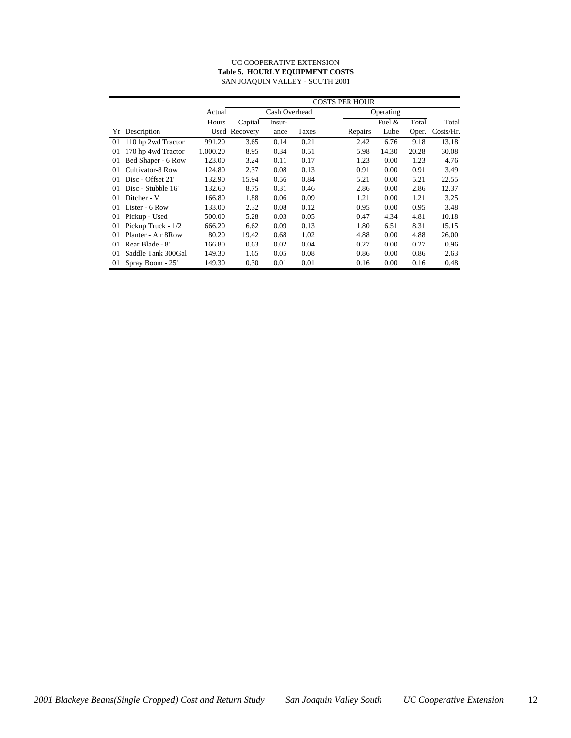#### UC COOPERATIVE EXTENSION **Table 5. HOURLY EQUIPMENT COSTS** SAN JOAQUIN VALLEY - SOUTH 2001

|    |                     |          | <b>COSTS PER HOUR</b> |               |       |         |           |       |              |  |  |
|----|---------------------|----------|-----------------------|---------------|-------|---------|-----------|-------|--------------|--|--|
|    |                     | Actual   |                       | Cash Overhead |       |         | Operating |       |              |  |  |
|    |                     | Hours    | Capital               | Insur-        |       |         | Fuel $&$  | Total | Total        |  |  |
|    | Yr Description      |          | Used Recovery         | ance          | Taxes | Repairs | Lube      | Oper. | $Costs/Hr$ . |  |  |
| 01 | 110 hp 2wd Tractor  | 991.20   | 3.65                  | 0.14          | 0.21  | 2.42    | 6.76      | 9.18  | 13.18        |  |  |
| 01 | 170 hp 4wd Tractor  | 1,000.20 | 8.95                  | 0.34          | 0.51  | 5.98    | 14.30     | 20.28 | 30.08        |  |  |
| 01 | Bed Shaper - 6 Row  | 123.00   | 3.24                  | 0.11          | 0.17  | 1.23    | 0.00      | 1.23  | 4.76         |  |  |
| 01 | Cultivator-8 Row    | 124.80   | 2.37                  | 0.08          | 0.13  | 0.91    | 0.00      | 0.91  | 3.49         |  |  |
| 01 | Disc - Offset 21'   | 132.90   | 15.94                 | 0.56          | 0.84  | 5.21    | 0.00      | 5.21  | 22.55        |  |  |
| 01 | Disc - Stubble 16'  | 132.60   | 8.75                  | 0.31          | 0.46  | 2.86    | 0.00      | 2.86  | 12.37        |  |  |
| 01 | Ditcher - V         | 166.80   | 1.88                  | 0.06          | 0.09  | 1.21    | 0.00      | 1.21  | 3.25         |  |  |
| 01 | Lister - 6 Row      | 133.00   | 2.32                  | 0.08          | 0.12  | 0.95    | 0.00      | 0.95  | 3.48         |  |  |
| 01 | Pickup - Used       | 500.00   | 5.28                  | 0.03          | 0.05  | 0.47    | 4.34      | 4.81  | 10.18        |  |  |
| 01 | Pickup Truck - 1/2  | 666.20   | 6.62                  | 0.09          | 0.13  | 1.80    | 6.51      | 8.31  | 15.15        |  |  |
| 01 | Planter - Air 8 Row | 80.20    | 19.42                 | 0.68          | 1.02  | 4.88    | 0.00      | 4.88  | 26.00        |  |  |
| 01 | Rear Blade - 8'     | 166.80   | 0.63                  | 0.02          | 0.04  | 0.27    | 0.00      | 0.27  | 0.96         |  |  |
| 01 | Saddle Tank 300Gal  | 149.30   | 1.65                  | 0.05          | 0.08  | 0.86    | 0.00      | 0.86  | 2.63         |  |  |
| 01 | Spray Boom - 25'    | 149.30   | 0.30                  | 0.01          | 0.01  | 0.16    | 0.00      | 0.16  | 0.48         |  |  |